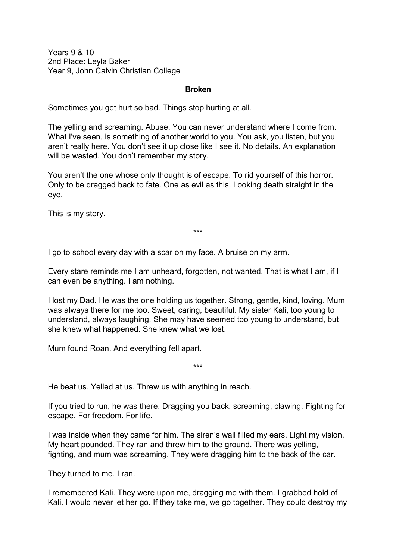Years 9 & 10 2nd Place: Leyla Baker Year 9, John Calvin Christian College

## **Broken**

Sometimes you get hurt so bad. Things stop hurting at all.

The yelling and screaming. Abuse. You can never understand where I come from. What I've seen, is something of another world to you. You ask, you listen, but you aren't really here. You don't see it up close like I see it. No details. An explanation will be wasted. You don't remember my story.

You aren't the one whose only thought is of escape. To rid yourself of this horror. Only to be dragged back to fate. One as evil as this. Looking death straight in the eye.

This is my story.

\*\*\*

I go to school every day with a scar on my face. A bruise on my arm.

Every stare reminds me I am unheard, forgotten, not wanted. That is what I am, if I can even be anything. I am nothing.

I lost my Dad. He was the one holding us together. Strong, gentle, kind, loving. Mum was always there for me too. Sweet, caring, beautiful. My sister Kali, too young to understand, always laughing. She may have seemed too young to understand, but she knew what happened. She knew what we lost.

Mum found Roan. And everything fell apart.

He beat us. Yelled at us. Threw us with anything in reach.

If you tried to run, he was there. Dragging you back, screaming, clawing. Fighting for escape. For freedom. For life.

\*\*\*

I was inside when they came for him. The siren's wail filled my ears. Light my vision. My heart pounded. They ran and threw him to the ground. There was yelling, fighting, and mum was screaming. They were dragging him to the back of the car.

They turned to me. I ran.

I remembered Kali. They were upon me, dragging me with them. I grabbed hold of Kali. I would never let her go. If they take me, we go together. They could destroy my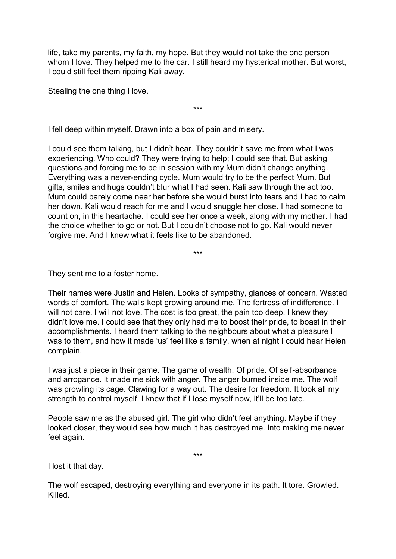life, take my parents, my faith, my hope. But they would not take the one person whom I love. They helped me to the car. I still heard my hysterical mother. But worst, I could still feel them ripping Kali away.

\*\*\*

Stealing the one thing I love.

I fell deep within myself. Drawn into a box of pain and misery.

I could see them talking, but I didn't hear. They couldn't save me from what I was experiencing. Who could? They were trying to help; I could see that. But asking questions and forcing me to be in session with my Mum didn't change anything. Everything was a never-ending cycle. Mum would try to be the perfect Mum. But gifts, smiles and hugs couldn't blur what I had seen. Kali saw through the act too. Mum could barely come near her before she would burst into tears and I had to calm her down. Kali would reach for me and I would snuggle her close. I had someone to count on, in this heartache. I could see her once a week, along with my mother. I had the choice whether to go or not. But I couldn't choose not to go. Kali would never forgive me. And I knew what it feels like to be abandoned.

\*\*\*

They sent me to a foster home.

Their names were Justin and Helen. Looks of sympathy, glances of concern. Wasted words of comfort. The walls kept growing around me. The fortress of indifference. I will not care. I will not love. The cost is too great, the pain too deep. I knew they didn't love me. I could see that they only had me to boost their pride, to boast in their accomplishments. I heard them talking to the neighbours about what a pleasure I was to them, and how it made 'us' feel like a family, when at night I could hear Helen complain.

I was just a piece in their game. The game of wealth. Of pride. Of self-absorbance and arrogance. It made me sick with anger. The anger burned inside me. The wolf was prowling its cage. Clawing for a way out. The desire for freedom. It took all my strength to control myself. I knew that if I lose myself now, it'll be too late.

People saw me as the abused girl. The girl who didn't feel anything. Maybe if they looked closer, they would see how much it has destroyed me. Into making me never feel again.

\*\*\*

I lost it that day.

The wolf escaped, destroying everything and everyone in its path. It tore. Growled. Killed.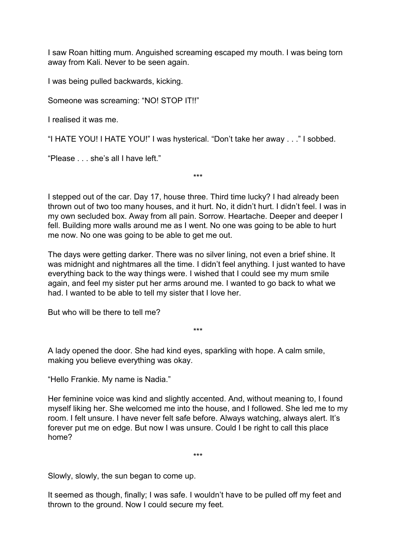I saw Roan hitting mum. Anguished screaming escaped my mouth. I was being torn away from Kali. Never to be seen again.

I was being pulled backwards, kicking.

Someone was screaming: "NO! STOP IT!!"

I realised it was me.

"I HATE YOU! I HATE YOU!" I was hysterical. "Don't take her away . . ." I sobbed.

"Please . . . she's all I have left."

I stepped out of the car. Day 17, house three. Third time lucky? I had already been thrown out of two too many houses, and it hurt. No, it didn't hurt. I didn't feel. I was in my own secluded box. Away from all pain. Sorrow. Heartache. Deeper and deeper I fell. Building more walls around me as I went. No one was going to be able to hurt me now. No one was going to be able to get me out.

\*\*\*

The days were getting darker. There was no silver lining, not even a brief shine. It was midnight and nightmares all the time. I didn't feel anything. I just wanted to have everything back to the way things were. I wished that I could see my mum smile again, and feel my sister put her arms around me. I wanted to go back to what we had. I wanted to be able to tell my sister that I love her.

\*\*\*

But who will be there to tell me?

A lady opened the door. She had kind eyes, sparkling with hope. A calm smile, making you believe everything was okay.

"Hello Frankie. My name is Nadia."

Her feminine voice was kind and slightly accented. And, without meaning to, I found myself liking her. She welcomed me into the house, and I followed. She led me to my room. I felt unsure. I have never felt safe before. Always watching, always alert. It's forever put me on edge. But now I was unsure. Could I be right to call this place home?

\*\*\*

Slowly, slowly, the sun began to come up.

It seemed as though, finally; I was safe. I wouldn't have to be pulled off my feet and thrown to the ground. Now I could secure my feet.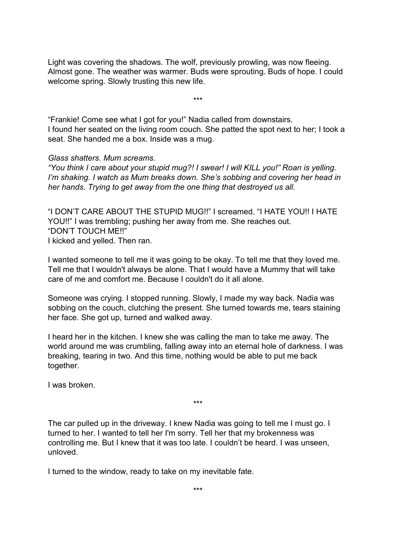Light was covering the shadows. The wolf, previously prowling, was now fleeing. Almost gone. The weather was warmer. Buds were sprouting. Buds of hope. I could welcome spring. Slowly trusting this new life.

\*\*\*

"Frankie! Come see what I got for you!" Nadia called from downstairs. I found her seated on the living room couch. She patted the spot next to her; I took a seat. She handed me a box. Inside was a mug.

## *Glass shatters. Mum screams.*

*"You think I care about your stupid mug?! I swear! I will KILL you!" Roan is yelling. I'm shaking. I watch as Mum breaks down. She's sobbing and covering her head in her hands. Trying to get away from the one thing that destroyed us all.*

"I DON'T CARE ABOUT THE STUPID MUG!!" I screamed. "I HATE YOU!! I HATE YOU!!" I was trembling; pushing her away from me. She reaches out. "DON'T TOUCH ME!!" I kicked and yelled. Then ran.

I wanted someone to tell me it was going to be okay. To tell me that they loved me. Tell me that I wouldn't always be alone. That I would have a Mummy that will take care of me and comfort me. Because I couldn't do it all alone.

Someone was crying. I stopped running. Slowly, I made my way back. Nadia was sobbing on the couch, clutching the present. She turned towards me, tears staining her face. She got up, turned and walked away.

I heard her in the kitchen. I knew she was calling the man to take me away. The world around me was crumbling, falling away into an eternal hole of darkness. I was breaking, tearing in two. And this time, nothing would be able to put me back together.

\*\*\*

I was broken.

The car pulled up in the driveway. I knew Nadia was going to tell me I must go. I turned to her. I wanted to tell her I'm sorry. Tell her that my brokenness was controlling me. But I knew that it was too late. I couldn't be heard. I was unseen, unloved.

I turned to the window, ready to take on my inevitable fate.